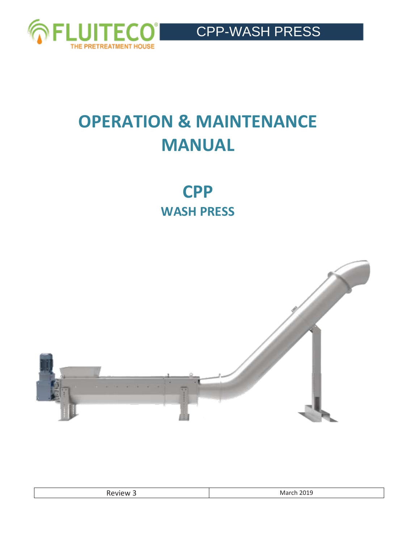

# **OPERATION & MAINTENANCE MANUAL**

**CPP WASH PRESS**



| w<br>.<br>. .<br>_____ | $\sim$<br>w |
|------------------------|-------------|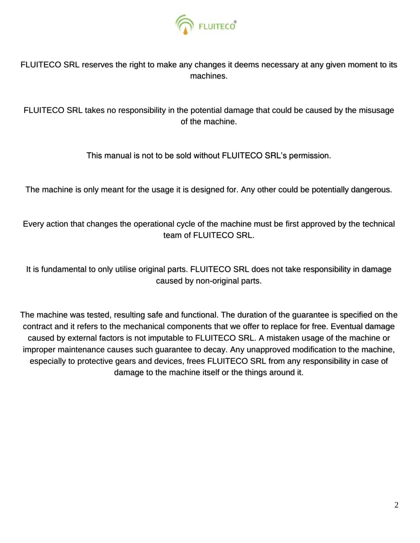

FLUITECO SRL reserves the right to make any changes it deems necessary at any given moment to its machines.

FLUITECO SRL takes no responsibility in the potential damage that could be caused by the misusage of the machine.

This manual is not to be sold without FLUITECO SRL's permission.

The machine is only meant for the usage it is designed for. Any other could be potentially dangerous.

Every action that changes the operational cycle of the machine must be first approved by the technical team of FLUITECO SRL.

It is fundamental to only utilise original parts. FLUITECO SRL does not take responsibility in damage caused by non-original parts.

The machine was tested, resulting safe and functional. The duration of the guarantee is specified on the contract and it refers to the mechanical components that we offer to replace for free. Eventual damage caused by external factors is not imputable to FLUITECO SRL. A mistaken usage of the machine or improper maintenance causes such guarantee to decay. Any unapproved modification to the machine, especially to protective gears and devices, frees FLUITECO SRL from any responsibility in case of damage to the machine itself or the things around it.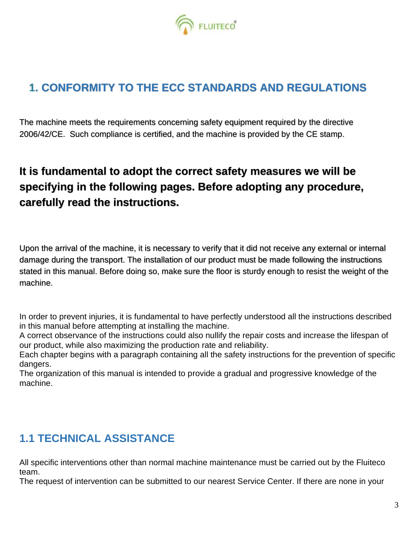

## **1. CONFORMITY TO THE ECC STANDARDS AND REGULATIONS**

The machine meets the requirements concerning safety equipment required by the directive 2006/42/CE. Such compliance is certified, and the machine is provided by the CE stamp.

# **It is fundamental to adopt the correct safety measures we will be specifying in the following pages. Before adopting any procedure, carefully read the instructions.**

Upon the arrival of the machine, it is necessary to verify that it did not receive any external or internal damage during the transport. The installation of our product must be made following the instructions stated in this manual. Before doing so, make sure the floor is sturdy enough to resist the weight of the machine.

In order to prevent injuries, it is fundamental to have perfectly understood all the instructions described in this manual before attempting at installing the machine.

A correct observance of the instructions could also nullify the repair costs and increase the lifespan of our product, while also maximizing the production rate and reliability.

Each chapter begins with a paragraph containing all the safety instructions for the prevention of specific dangers.

The organization of this manual is intended to provide a gradual and progressive knowledge of the machine.

## **1.1 TECHNICAL ASSISTANCE**

All specific interventions other than normal machine maintenance must be carried out by the Fluiteco team.

The request of intervention can be submitted to our nearest Service Center. If there are none in your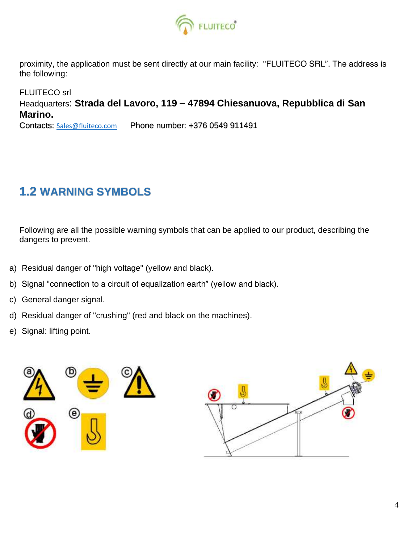

proximity, the application must be sent directly at our main facility: "FLUITECO SRL". The address is the following:

FLUITECO srl Headquarters: **Strada del Lavoro, 119 – 47894 Chiesanuova, Repubblica di San Marino.** Contacts: [Sales@fluiteco.com](mailto:Sales@fluiteco.com)Phone number: +376 0549 911491

# **1.2 WARNING SYMBOLS**

Following are all the possible warning symbols that can be applied to our product, describing the dangers to prevent.

- a) Residual danger of "high voltage" (yellow and black).
- b) Signal "connection to a circuit of equalization earth" (yellow and black).
- c) General danger signal.
- d) Residual danger of "crushing" (red and black on the machines).
- e) Signal: lifting point.

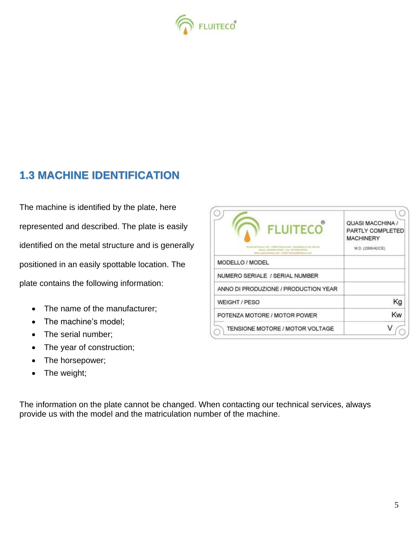

## **1.3 MACHINE IDENTIFICATION**

The machine is identified by the plate, here represented and described. The plate is easily identified on the metal structure and is generally positioned in an easily spottable location. The plate contains the following information:

- The name of the manufacturer;
- The machine's model:
- The serial number;
- The year of construction;
- The horsepower;
- The weight;

QUASI MACCHINA / PARTLY COMPLETED **MACHINERY** M.D. (2006/42/CE) MODELLO / MODEL NUMERO SERIALE / SERIAL NUMBER ANNO DI PRODUZIONE / PRODUCTION YEAR Kg WEIGHT / PESO Kw POTENZA MOTORE / MOTOR POWER V TENSIONE MOTORE / MOTOR VOLTAGE

The information on the plate cannot be changed. When contacting our technical services, always provide us with the model and the matriculation number of the machine.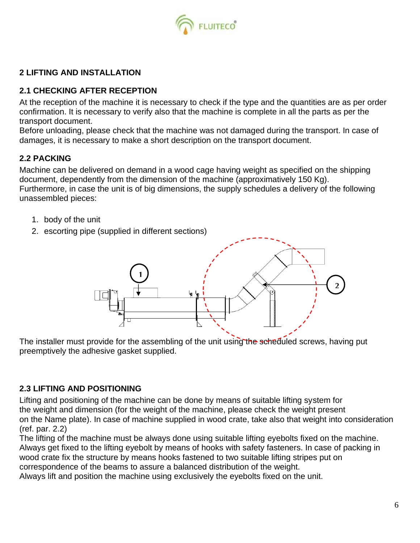

## **2 LIFTING AND INSTALLATION**

## **2.1 CHECKING AFTER RECEPTION**

At the reception of the machine it is necessary to check if the type and the quantities are as per order confirmation. It is necessary to verify also that the machine is complete in all the parts as per the transport document.

Before unloading, please check that the machine was not damaged during the transport. In case of damages, it is necessary to make a short description on the transport document.

## **2.2 PACKING**

Machine can be delivered on demand in a wood cage having weight as specified on the shipping document, dependently from the dimension of the machine (approximatively 150 Kg). Furthermore, in case the unit is of big dimensions, the supply schedules a delivery of the following unassembled pieces:

- 1. body of the unit
- 2. escorting pipe (supplied in different sections)



The installer must provide for the assembling of the unit using the scheduled screws, having put preemptively the adhesive gasket supplied.

## **2.3 LIFTING AND POSITIONING**

Lifting and positioning of the machine can be done by means of suitable lifting system for the weight and dimension (for the weight of the machine, please check the weight present on the Name plate). In case of machine supplied in wood crate, take also that weight into consideration (ref. par. 2.2)

The lifting of the machine must be always done using suitable lifting eyebolts fixed on the machine. Always get fixed to the lifting eyebolt by means of hooks with safety fasteners. In case of packing in wood crate fix the structure by means hooks fastened to two suitable lifting stripes put on correspondence of the beams to assure a balanced distribution of the weight.

Always lift and position the machine using exclusively the eyebolts fixed on the unit.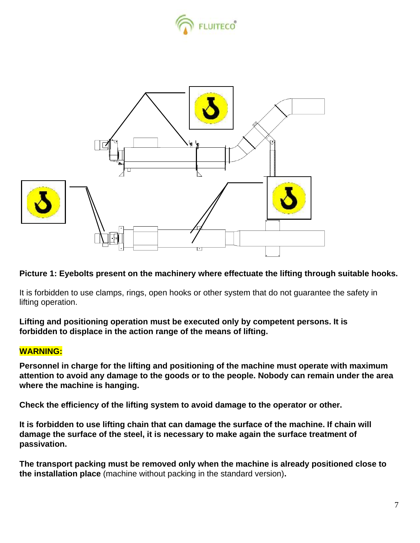



**Picture 1: Eyebolts present on the machinery where effectuate the lifting through suitable hooks.**

It is forbidden to use clamps, rings, open hooks or other system that do not guarantee the safety in lifting operation.

**Lifting and positioning operation must be executed only by competent persons. It is forbidden to displace in the action range of the means of lifting.** 

## **WARNING:**

**Personnel in charge for the lifting and positioning of the machine must operate with maximum attention to avoid any damage to the goods or to the people. Nobody can remain under the area where the machine is hanging.**

**Check the efficiency of the lifting system to avoid damage to the operator or other.** 

**It is forbidden to use lifting chain that can damage the surface of the machine. If chain will damage the surface of the steel, it is necessary to make again the surface treatment of passivation.** 

**The transport packing must be removed only when the machine is already positioned close to the installation place** (machine without packing in the standard version)**.**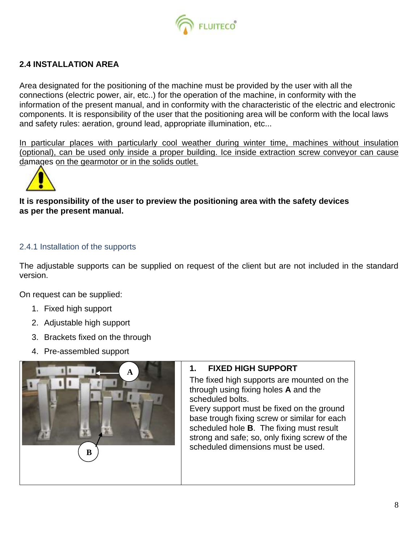

## **2.4 INSTALLATION AREA**

Area designated for the positioning of the machine must be provided by the user with all the connections (electric power, air, etc..) for the operation of the machine, in conformity with the information of the present manual, and in conformity with the characteristic of the electric and electronic components. It is responsibility of the user that the positioning area will be conform with the local laws and safety rules: aeration, ground lead, appropriate illumination, etc...

*In particular places with particularly cool weather during winter time, machines without insulation (optional), can be used only inside a proper building. Ice inside extraction screw conveyor can cause damages on the gearmotor or in the solids outlet.* 



## **It is responsibility of the user to preview the positioning area with the safety devices as per the present manual.**

## 2.4.1 Installation of the supports

The adjustable supports can be supplied on request of the client but are not included in the standard version.

On request can be supplied:

- 1. Fixed high support
- 2. Adjustable high support
- 3. Brackets fixed on the through
- 4. Pre-assembled support



## **1. FIXED HIGH SUPPORT**

The fixed high supports are mounted on the through using fixing holes **A** and the scheduled bolts.

Every support must be fixed on the ground base trough fixing screw or similar for each scheduled hole **B**. The fixing must result strong and safe; so, only fixing screw of the scheduled dimensions must be used.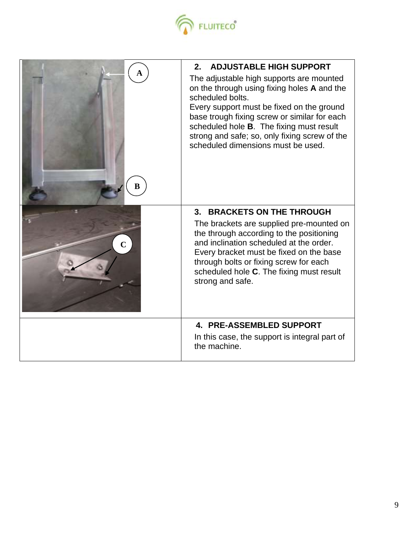

| ĸ           | <b>ADJUSTABLE HIGH SUPPORT</b><br>2.<br>The adjustable high supports are mounted<br>on the through using fixing holes A and the<br>scheduled bolts.<br>Every support must be fixed on the ground<br>base trough fixing screw or similar for each<br>scheduled hole B. The fixing must result<br>strong and safe; so, only fixing screw of the<br>scheduled dimensions must be used. |
|-------------|-------------------------------------------------------------------------------------------------------------------------------------------------------------------------------------------------------------------------------------------------------------------------------------------------------------------------------------------------------------------------------------|
| $\mathbf C$ | 3. BRACKETS ON THE THROUGH<br>The brackets are supplied pre-mounted on<br>the through according to the positioning<br>and inclination scheduled at the order.<br>Every bracket must be fixed on the base<br>through bolts or fixing screw for each<br>scheduled hole C. The fixing must result<br>strong and safe.                                                                  |
|             | <b>4. PRE-ASSEMBLED SUPPORT</b><br>In this case, the support is integral part of<br>the machine.                                                                                                                                                                                                                                                                                    |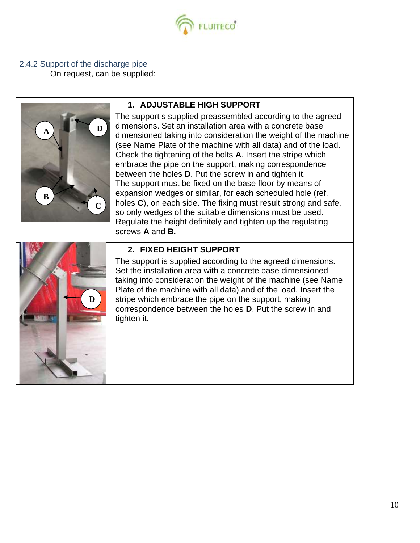

2.4.2 Support of the discharge pipe

On request, can be supplied:

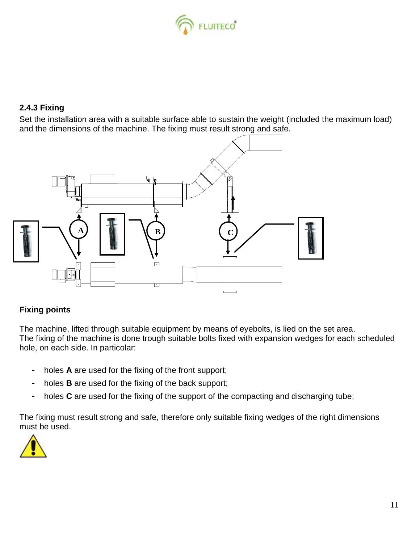

## **2.4.3 Fixing**

Set the installation area with a suitable surface able to sustain the weight (included the maximum load) and the dimensions of the machine. The fixing must result strong and safe.



## **Fixing points**

The machine, lifted through suitable equipment by means of eyebolts, is lied on the set area. The fixing of the machine is done trough suitable bolts fixed with expansion wedges for each scheduled hole, on each side. In particolar:

- holes **A** are used for the fixing of the front support;
- holes **B** are used for the fixing of the back support;
- holes **C** are used for the fixing of the support of the compacting and discharging tube;

The fixing must result strong and safe, therefore only suitable fixing wedges of the right dimensions must be used.

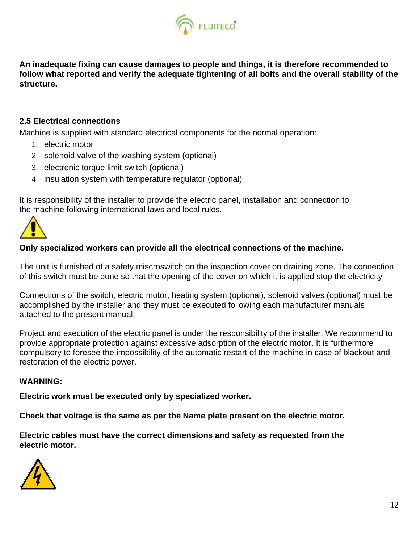

**An inadequate fixing can cause damages to people and things, it is therefore recommended to follow what reported and verify the adequate tightening of all bolts and the overall stability of the structure.** 

## **2.5 Electrical connections**

Machine is supplied with standard electrical components for the normal operation:

- 1. electric motor
- 2. solenoid valve of the washing system (optional)
- 3. electronic torque limit switch (optional)
- 4. insulation system with temperature regulator (optional)

It is responsibility of the installer to provide the electric panel, installation and connection to the machine following international laws and local rules.



## **Only specialized workers can provide all the electrical connections of the machine.**

The unit is furnished of a safety miscroswitch on the inspection cover on draining zone. The connection of this switch must be done so that the opening of the cover on which it is applied stop the electricity

Connections of the switch, electric motor, heating system (optional), solenoid valves (optional) must be accomplished by the installer and they must be executed following each manufacturer manuals attached to the present manual.

Project and execution of the electric panel is under the responsibility of the installer. We recommend to provide appropriate protection against excessive adsorption of the electric motor. It is furthermore compulsory to foresee the impossibility of the automatic restart of the machine in case of blackout and restoration of the electric power.

## *WARNING:*

**Electric work must be executed only by specialized worker.**

**Check that voltage is the same as per the Name plate present on the electric motor.**

**Electric cables must have the correct dimensions and safety as requested from the electric motor.**

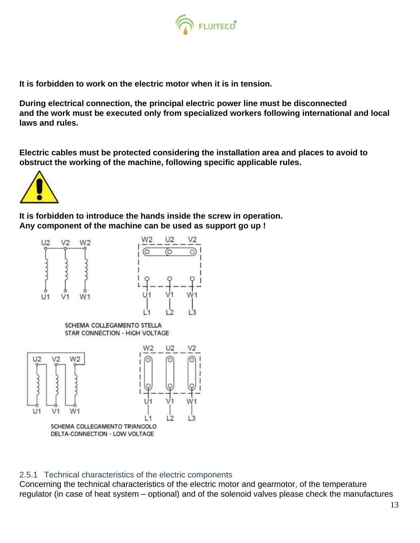

**It is forbidden to work on the electric motor when it is in tension.**

**During electrical connection, the principal electric power line must be disconnected and the work must be executed only from specialized workers following international and local laws and rules.**

**Electric cables must be protected considering the installation area and places to avoid to obstruct the working of the machine, following specific applicable rules.** 



**It is forbidden to introduce the hands inside the screw in operation. Any component of the machine can be used as support go up !**





SCHEMA COLLEGAMENTO STELLA STAR CONNECTION - HIGH VOLTAGE



## 2.5.1 Technical characteristics of the electric components

Concerning the technical characteristics of the electric motor and gearmotor, of the temperature regulator (in case of heat system – optional) and of the solenoid valves please check the manufactures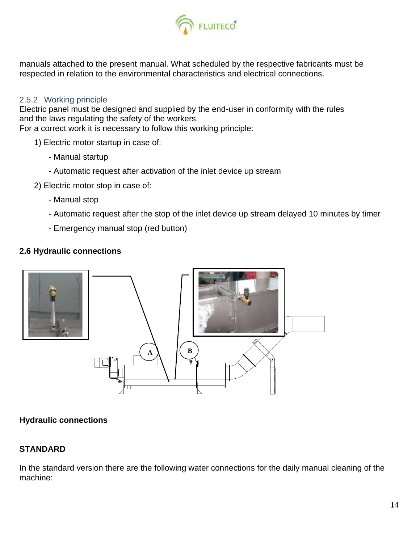

manuals attached to the present manual. What scheduled by the respective fabricants must be respected in relation to the environmental characteristics and electrical connections.

## 2.5.2 Working principle

Electric panel must be designed and supplied by the end-user in conformity with the rules and the laws regulating the safety of the workers.

For a correct work it is necessary to follow this working principle:

- 1) Electric motor startup in case of:
	- Manual startup
	- Automatic request after activation of the inlet device up stream
- 2) Electric motor stop in case of:
	- Manual stop
	- Automatic request after the stop of the inlet device up stream delayed 10 minutes by timer
	- Emergency manual stop (red button)

## **2.6 Hydraulic connections**



## **Hydraulic connections**

## **STANDARD**

In the standard version there are the following water connections for the daily manual cleaning of the machine: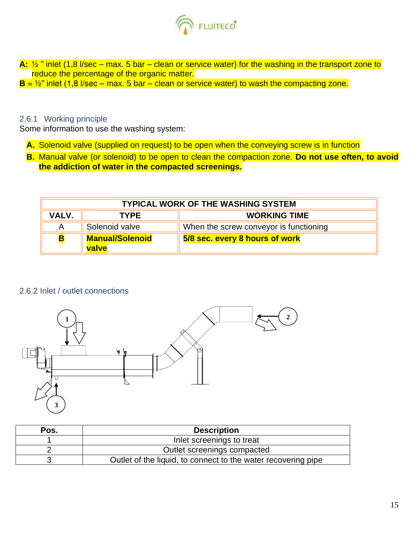

**A:**  $\frac{1}{2}$  " inlet (1,8 l/sec – max. 5 bar – clean or service water) for the washing in the transport zone to reduce the percentage of the organic matter.  $B = \frac{1}{2}$ " inlet (1,8 l/sec – max. 5 bar – clean or service water) to wash the compacting zone.

## 2.6.1 Working principle

Some information to use the washing system:

- **A.** Solenoid valve (supplied on request) to be open when the conveying screw is in function
- **B.** Manual valve (or solenoid) to be open to clean the compaction zone. **Do not use often, to avoid the addiction of water in the compacted screenings.**

| <b>TYPICAL WORK OF THE WASHING SYSTEM</b> |                                    |                                        |
|-------------------------------------------|------------------------------------|----------------------------------------|
| <b>VALV.</b>                              | <b>WORKING TIME</b><br><b>TYPE</b> |                                        |
| Α                                         | Solenoid valve                     | When the screw conveyor is functioning |
| <b>B</b>                                  | <b>Manual/Solenoid</b><br>valve    | 5/8 sec. every 8 hours of work         |

#### 2.6.2 Inlet / outlet connections



| Pos. | <b>Description</b>                                            |
|------|---------------------------------------------------------------|
|      | Inlet screenings to treat                                     |
|      | Outlet screenings compacted                                   |
|      | Outlet of the liquid, to connect to the water recovering pipe |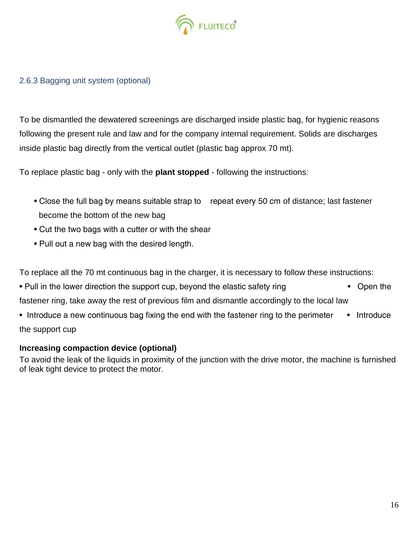

## 2.6.3 Bagging unit system (optional)

To be dismantled the dewatered screenings are discharged inside plastic bag, for hygienic reasons following the present rule and law and for the company internal requirement. Solids are discharges inside plastic bag directly from the vertical outlet (plastic bag approx 70 mt).

To replace plastic bag - only with the **plant stopped** - following the instructions:

- Close the full bag by means suitable strap to repeat every 50 cm of distance; last fastener become the bottom of the new bag
- Cut the two bags with a cutter or with the shear
- Pull out a new bag with the desired length.

To replace all the 70 mt continuous bag in the charger, it is necessary to follow these instructions:

- Pull in the lower direction the support cup, beyond the elastic safety ring Open the fastener ring, take away the rest of previous film and dismantle accordingly to the local law
- Introduce a new continuous bag fixing the end with the fastener ring to the perimeter Introduce the support cup

## **Increasing compaction device (optional)**

To avoid the leak of the liquids in proximity of the junction with the drive motor, the machine is furnished of leak tight device to protect the motor.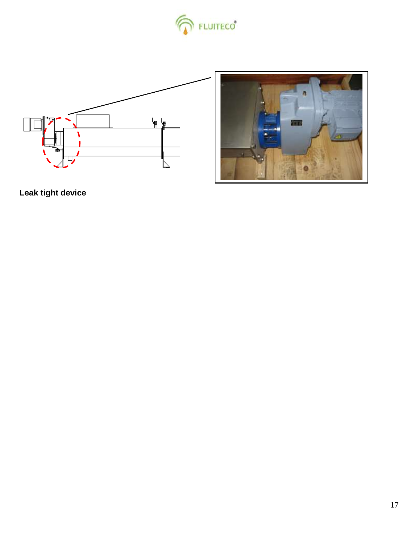





**Leak tight device**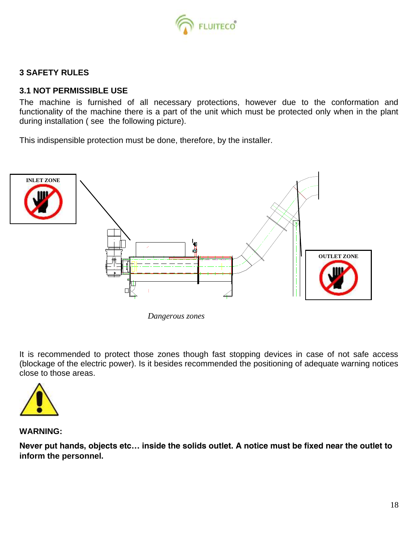

## **3 SAFETY RULES**

## **3.1 NOT PERMISSIBLE USE**

The machine is furnished of all necessary protections, however due to the conformation and functionality of the machine there is a part of the unit which must be protected only when in the plant during installation ( see the following picture).

This indispensible protection must be done, therefore, by the installer.



*Dangerous zones* 

It is recommended to protect those zones though fast stopping devices in case of not safe access (blockage of the electric power). Is it besides recommended the positioning of adequate warning notices close to those areas.



**WARNING:**

**Never put hands, objects etc… inside the solids outlet. A notice must be fixed near the outlet to inform the personnel.**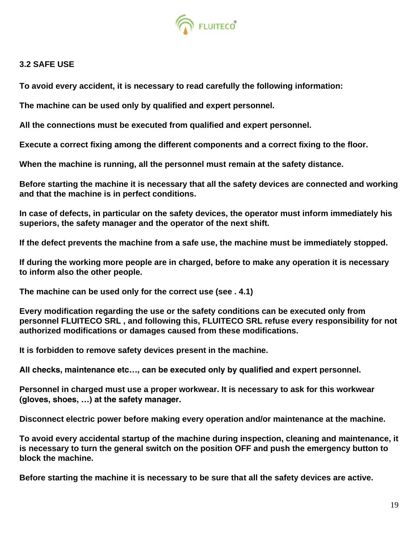

## **3.2 SAFE USE**

**To avoid every accident, it is necessary to read carefully the following information:**

**The machine can be used only by qualified and expert personnel.**

**All the connections must be executed from qualified and expert personnel.** 

**Execute a correct fixing among the different components and a correct fixing to the floor.**

**When the machine is running, all the personnel must remain at the safety distance.**

**Before starting the machine it is necessary that all the safety devices are connected and working and that the machine is in perfect conditions.**

**In case of defects, in particular on the safety devices, the operator must inform immediately his superiors, the safety manager and the operator of the next shift.**

**If the defect prevents the machine from a safe use, the machine must be immediately stopped.**

**If during the working more people are in charged, before to make any operation it is necessary to inform also the other people.**

**The machine can be used only for the correct use (see . 4.1)**

**Every modification regarding the use or the safety conditions can be executed only from personnel FLUITECO SRL , and following this, FLUITECO SRL refuse every responsibility for not authorized modifications or damages caused from these modifications.**

**It is forbidden to remove safety devices present in the machine.**

**All checks, maintenance etc…, can be executed only by qualified and expert personnel.**

**Personnel in charged must use a proper workwear. It is necessary to ask for this workwear (gloves, shoes, …) at the safety manager.**

**Disconnect electric power before making every operation and/or maintenance at the machine.**

**To avoid every accidental startup of the machine during inspection, cleaning and maintenance, it is necessary to turn the general switch on the position OFF and push the emergency button to block the machine.**

**Before starting the machine it is necessary to be sure that all the safety devices are active.**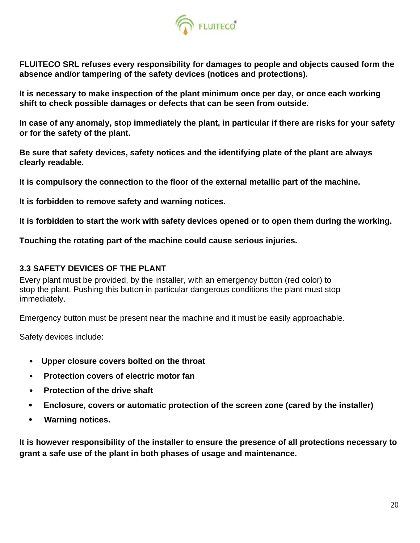

**FLUITECO SRL refuses every responsibility for damages to people and objects caused form the absence and/or tampering of the safety devices (notices and protections).**

**It is necessary to make inspection of the plant minimum once per day, or once each working shift to check possible damages or defects that can be seen from outside.**

**In case of any anomaly, stop immediately the plant, in particular if there are risks for your safety or for the safety of the plant.**

**Be sure that safety devices, safety notices and the identifying plate of the plant are always clearly readable.**

**It is compulsory the connection to the floor of the external metallic part of the machine.**

**It is forbidden to remove safety and warning notices.**

**It is forbidden to start the work with safety devices opened or to open them during the working.**

**Touching the rotating part of the machine could cause serious injuries.**

## **3.3 SAFETY DEVICES OF THE PLANT**

Every plant must be provided, by the installer, with an emergency button (red color) to stop the plant. Pushing this button in particular dangerous conditions the plant must stop immediately.

Emergency button must be present near the machine and it must be easily approachable.

Safety devices include:

- **Upper closure covers bolted on the throat**
- **Protection covers of electric motor fan**
- **Protection of the drive shaft**
- **Enclosure, covers or automatic protection of the screen zone (cared by the installer)**
- **Warning notices.**

**It is however responsibility of the installer to ensure the presence of all protections necessary to grant a safe use of the plant in both phases of usage and maintenance.**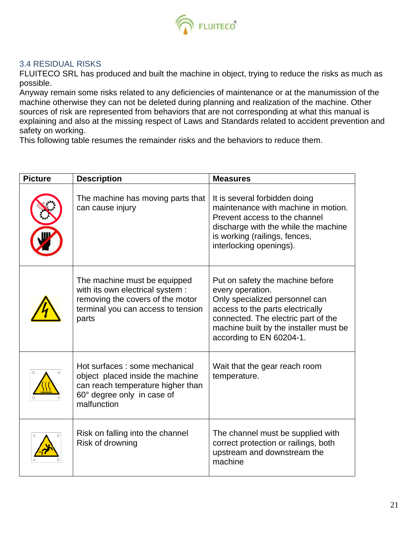

## 3.4 RESIDUAL RISKS

FLUITECO SRL has produced and built the machine in object, trying to reduce the risks as much as possible.

Anyway remain some risks related to any deficiencies of maintenance or at the manumission of the machine otherwise they can not be deleted during planning and realization of the machine. Other sources of risk are represented from behaviors that are not corresponding at what this manual is explaining and also at the missing respect of Laws and Standards related to accident prevention and safety on working.

This following table resumes the remainder risks and the behaviors to reduce them.

| <b>Picture</b> | <b>Description</b>                                                                                                                                   | <b>Measures</b>                                                                                                                                                                                                                         |
|----------------|------------------------------------------------------------------------------------------------------------------------------------------------------|-----------------------------------------------------------------------------------------------------------------------------------------------------------------------------------------------------------------------------------------|
|                | The machine has moving parts that<br>can cause injury                                                                                                | It is several forbidden doing<br>maintenance with machine in motion.<br>Prevent access to the channel<br>discharge with the while the machine<br>is working (railings, fences,<br>interlocking openings).                               |
|                | The machine must be equipped<br>with its own electrical system :<br>removing the covers of the motor<br>terminal you can access to tension<br>parts  | Put on safety the machine before<br>every operation.<br>Only specialized personnel can<br>access to the parts electrically<br>connected. The electric part of the<br>machine built by the installer must be<br>according to EN 60204-1. |
|                | Hot surfaces : some mechanical<br>object placed inside the machine<br>can reach temperature higher than<br>60° degree only in case of<br>malfunction | Wait that the gear reach room<br>temperature.                                                                                                                                                                                           |
|                | Risk on falling into the channel<br>Risk of drowning                                                                                                 | The channel must be supplied with<br>correct protection or railings, both<br>upstream and downstream the<br>machine                                                                                                                     |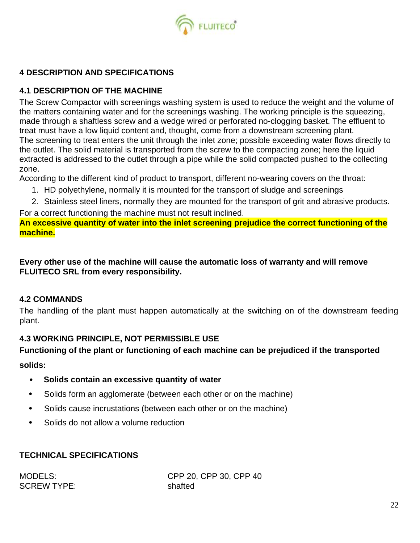

## **4 DESCRIPTION AND SPECIFICATIONS**

## **4.1 DESCRIPTION OF THE MACHINE**

The Screw Compactor with screenings washing system is used to reduce the weight and the volume of the matters containing water and for the screenings washing. The working principle is the squeezing, made through a shaftless screw and a wedge wired or perforated no-clogging basket. The effluent to treat must have a low liquid content and, thought, come from a downstream screening plant. The screening to treat enters the unit through the inlet zone; possible exceeding water flows directly to the outlet. The solid material is transported from the screw to the compacting zone; here the liquid extracted is addressed to the outlet through a pipe while the solid compacted pushed to the collecting zone.

According to the different kind of product to transport, different no-wearing covers on the throat:

- 1. HD polyethylene, normally it is mounted for the transport of sludge and screenings
- 2. Stainless steel liners, normally they are mounted for the transport of grit and abrasive products.

For a correct functioning the machine must not result inclined.

**An excessive quantity of water into the inlet screening prejudice the correct functioning of the machine.**

**Every other use of the machine will cause the automatic loss of warranty and will remove FLUITECO SRL from every responsibility.**

## **4.2 COMMANDS**

The handling of the plant must happen automatically at the switching on of the downstream feeding plant.

## **4.3 WORKING PRINCIPLE, NOT PERMISSIBLE USE**

## **Functioning of the plant or functioning of each machine can be prejudiced if the transported**

**solids:**

- **Solids contain an excessive quantity of water**
- Solids form an agglomerate (between each other or on the machine)
- Solids cause incrustations (between each other or on the machine)
- Solids do not allow a volume reduction

## *TECHNICAL SPECIFICATIONS*

SCREW TYPE: shafted

MODELS: CPP 20, CPP 30, CPP 40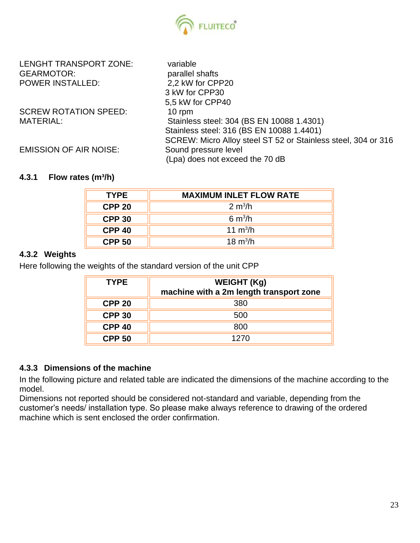

LENGHT TRANSPORT ZONE: variable GEARMOTOR: parallel shafts POWER INSTALLED: 2,2 kW for CPP20

SCREW ROTATION SPEED: 10 rpm

3 kW for CPP30 5,5 kW for CPP40 MATERIAL: Stainless steel: 304 (BS EN 10088 1.4301) Stainless steel: 316 (BS EN 10088 1.4401) SCREW: Micro Alloy steel ST 52 or Stainless steel, 304 or 316 EMISSION OF AIR NOISE: Sound pressure level (Lpa) does not exceed the 70 dB

## **4.3.1 Flow rates (m³/h)**

| <b>TYPE</b>   | <b>MAXIMUM INLET FLOW RATE</b> |
|---------------|--------------------------------|
| <b>CPP 20</b> | $2 \text{ m}^3$ /h             |
| <b>CPP 30</b> | $6 \text{ m}^3$ /h             |
| <b>CPP 40</b> | 11 $m^3/h$                     |
| <b>CPP 50</b> | 18 $m^3/h$                     |

## **4.3.2 Weights**

Here following the weights of the standard version of the unit CPP

| <b>TYPE</b>   | <b>WEIGHT (Kg)</b><br>machine with a 2m length transport zone |
|---------------|---------------------------------------------------------------|
| <b>CPP 20</b> | 380                                                           |
| <b>CPP 30</b> | 500                                                           |
| <b>CPP 40</b> | 800                                                           |
| <b>CPP 50</b> | 1270                                                          |

## **4.3.3 Dimensions of the machine**

In the following picture and related table are indicated the dimensions of the machine according to the model.

Dimensions not reported should be considered not-standard and variable, depending from the customer's needs/ installation type. So please make always reference to drawing of the ordered machine which is sent enclosed the order confirmation.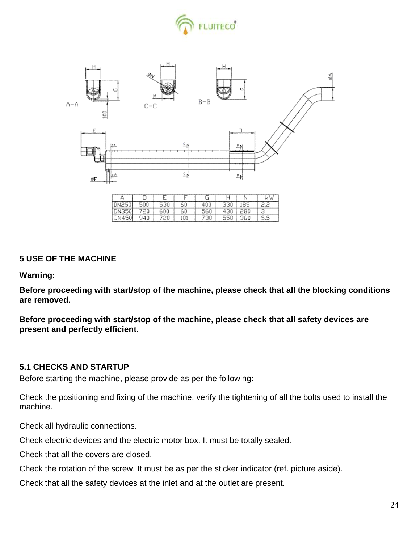



| --- | $\cdots$ | --- | ------ | ----<br>۰ |                          |
|-----|----------|-----|--------|-----------|--------------------------|
|     |          |     |        |           |                          |
| --- |          |     | -      | --        | $\overline{\phantom{a}}$ |

## **5 USE OF THE MACHINE**

**Warning:**

**Before proceeding with start/stop of the machine, please check that all the blocking conditions are removed.**

**Before proceeding with start/stop of the machine, please check that all safety devices are present and perfectly efficient.**

## **5.1 CHECKS AND STARTUP**

Before starting the machine, please provide as per the following:

Check the positioning and fixing of the machine, verify the tightening of all the bolts used to install the machine.

Check all hydraulic connections.

Check electric devices and the electric motor box. It must be totally sealed.

Check that all the covers are closed.

Check the rotation of the screw. It must be as per the sticker indicator (ref. picture aside).

Check that all the safety devices at the inlet and at the outlet are present.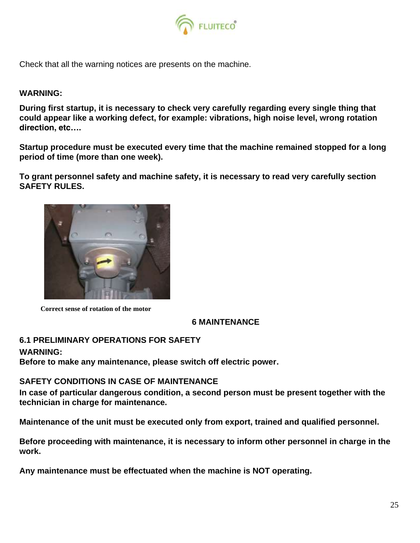

Check that all the warning notices are presents on the machine.

#### **WARNING:**

**During first startup, it is necessary to check very carefully regarding every single thing that could appear like a working defect, for example: vibrations, high noise level, wrong rotation direction, etc….**

**Startup procedure must be executed every time that the machine remained stopped for a long period of time (more than one week).**

**To grant personnel safety and machine safety, it is necessary to read very carefully section SAFETY RULES.**



**Correct sense of rotation of the motor**

## **6 MAINTENANCE**

## **6.1 PRELIMINARY OPERATIONS FOR SAFETY**

#### **WARNING:**

**Before to make any maintenance, please switch off electric power.**

#### **SAFETY CONDITIONS IN CASE OF MAINTENANCE**

**In case of particular dangerous condition, a second person must be present together with the technician in charge for maintenance.**

**Maintenance of the unit must be executed only from export, trained and qualified personnel.**

**Before proceeding with maintenance, it is necessary to inform other personnel in charge in the work.**

**Any maintenance must be effectuated when the machine is NOT operating.**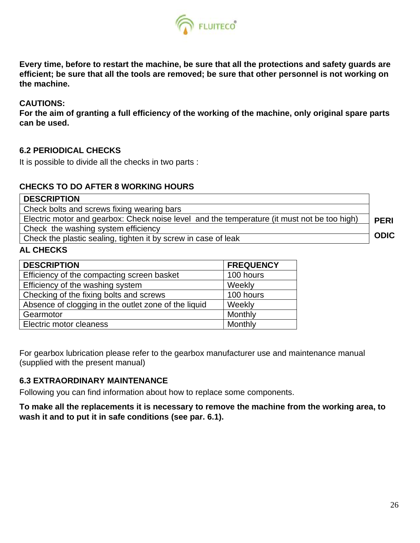

**Every time, before to restart the machine, be sure that all the protections and safety guards are efficient; be sure that all the tools are removed; be sure that other personnel is not working on the machine.**

## **CAUTIONS:**

**For the aim of granting a full efficiency of the working of the machine, only original spare parts can be used.** 

## **6.2 PERIODICAL CHECKS**

It is possible to divide all the checks in two parts :

## **CHECKS TO DO AFTER 8 WORKING HOURS**

| <b>DESCRIPTION</b>                                                                          |             |
|---------------------------------------------------------------------------------------------|-------------|
| Check bolts and screws fixing wearing bars                                                  |             |
| Electric motor and gearbox: Check noise level and the temperature (it must not be too high) | <b>PERI</b> |
| Check the washing system efficiency                                                         |             |
| Check the plastic sealing, tighten it by screw in case of leak                              | <b>ODIC</b> |
| <b>AL CHECKS</b>                                                                            |             |

| <b>DESCRIPTION</b>                                   | <b>FREQUENCY</b> |
|------------------------------------------------------|------------------|
| Efficiency of the compacting screen basket           | 100 hours        |
| Efficiency of the washing system                     | Weekly           |
| Checking of the fixing bolts and screws              | 100 hours        |
| Absence of clogging in the outlet zone of the liquid | Weekly           |
| Gearmotor                                            | Monthly          |
| Electric motor cleaness                              | Monthly          |

For gearbox lubrication please refer to the gearbox manufacturer use and maintenance manual (supplied with the present manual)

## **6.3 EXTRAORDINARY MAINTENANCE**

Following you can find information about how to replace some components.

**To make all the replacements it is necessary to remove the machine from the working area, to wash it and to put it in safe conditions (see par. 6.1).**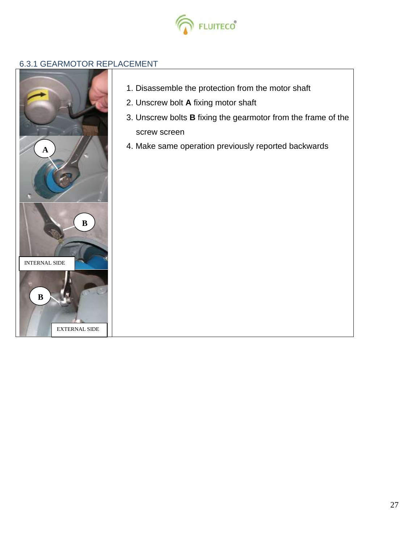

## 6.3.1 GEARMOTOR REPLACEMENT



- 1. Disassemble the protection from the motor shaft
- 2. Unscrew bolt **A** fixing motor shaft
- 3. Unscrew bolts **B** fixing the gearmotor from the frame of the screw screen
- 4. Make same operation previously reported backwards **<sup>A</sup>**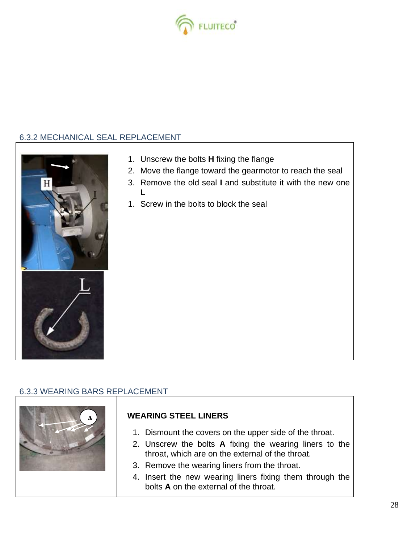

# 6.3.2 MECHANICAL SEAL REPLACEMENT

| 1. Unscrew the bolts H fixing the flange<br>2. Move the flange toward the gearmotor to reach the seal<br>3. Remove the old seal I and substitute it with the new one<br>1. Screw in the bolts to block the seal |
|-----------------------------------------------------------------------------------------------------------------------------------------------------------------------------------------------------------------|
|                                                                                                                                                                                                                 |

# 6.3.3 WEARING BARS REPLACEMENT

| <b>WEARING STEEL LINERS</b>                                                                                 |
|-------------------------------------------------------------------------------------------------------------|
| 1. Dismount the covers on the upper side of the throat.                                                     |
| 2. Unscrew the bolts A fixing the wearing liners to the<br>throat, which are on the external of the throat. |
| 3. Remove the wearing liners from the throat.                                                               |
| 4. Insert the new wearing liners fixing them through the<br>bolts A on the external of the throat.          |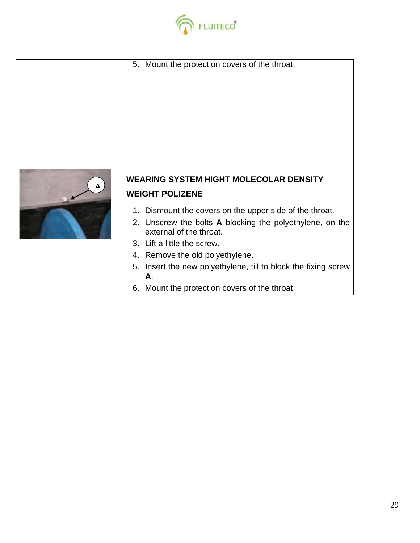

|           | 5. Mount the protection covers of the throat.                                       |  |  |
|-----------|-------------------------------------------------------------------------------------|--|--|
| $\lambda$ | <b>WEARING SYSTEM HIGHT MOLECOLAR DENSITY</b><br><b>WEIGHT POLIZENE</b>             |  |  |
|           | 1. Dismount the covers on the upper side of the throat.                             |  |  |
|           | 2. Unscrew the bolts A blocking the polyethylene, on the<br>external of the throat. |  |  |
|           | 3. Lift a little the screw.                                                         |  |  |
|           | 4. Remove the old polyethylene.                                                     |  |  |
|           | 5. Insert the new polyethylene, till to block the fixing screw<br>Α.                |  |  |
|           | 6. Mount the protection covers of the throat.                                       |  |  |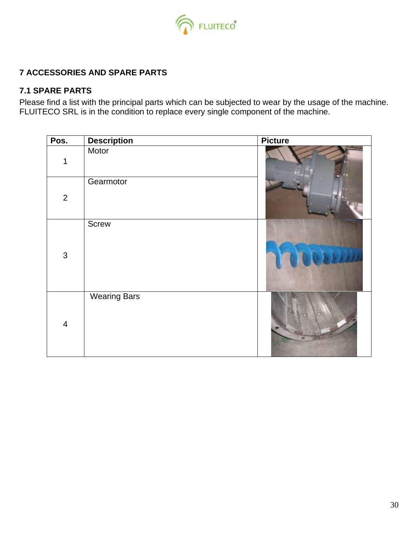

## **7 ACCESSORIES AND SPARE PARTS**

## **7.1 SPARE PARTS**

Please find a list with the principal parts which can be subjected to wear by the usage of the machine. FLUITECO SRL is in the condition to replace every single component of the machine.

| Pos.           | <b>Description</b>  | <b>Picture</b> |
|----------------|---------------------|----------------|
| 1              | Motor               |                |
| $\overline{2}$ | Gearmotor           |                |
| $\mathbf{3}$   | Screw               |                |
| $\overline{4}$ | <b>Wearing Bars</b> |                |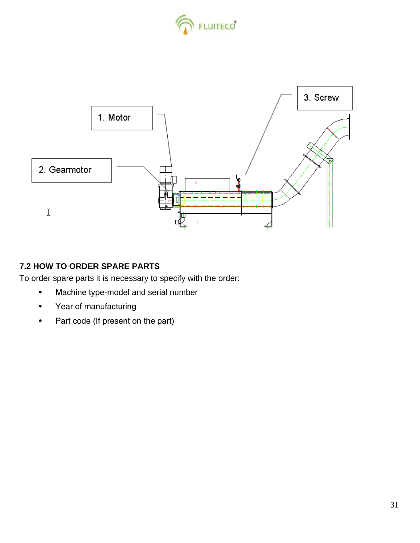



## **7.2 HOW TO ORDER SPARE PARTS**

To order spare parts it is necessary to specify with the order:

- Machine type-model and serial number
- Year of manufacturing
- Part code (If present on the part)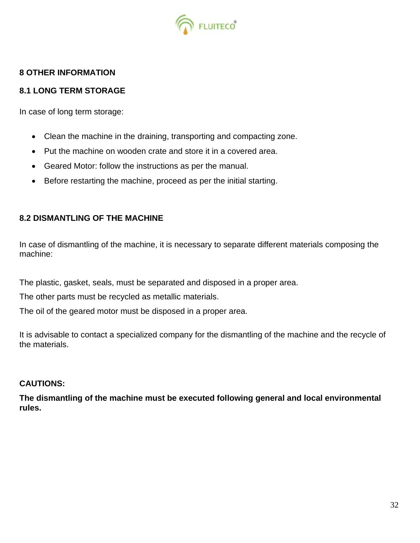

## **8 OTHER INFORMATION**

## **8.1 LONG TERM STORAGE**

In case of long term storage:

- Clean the machine in the draining, transporting and compacting zone.
- Put the machine on wooden crate and store it in a covered area.
- Geared Motor: follow the instructions as per the manual.
- Before restarting the machine, proceed as per the initial starting.

## **8.2 DISMANTLING OF THE MACHINE**

In case of dismantling of the machine, it is necessary to separate different materials composing the machine:

The plastic, gasket, seals, must be separated and disposed in a proper area.

The other parts must be recycled as metallic materials.

The oil of the geared motor must be disposed in a proper area.

It is advisable to contact a specialized company for the dismantling of the machine and the recycle of the materials.

## **CAUTIONS:**

**The dismantling of the machine must be executed following general and local environmental rules.**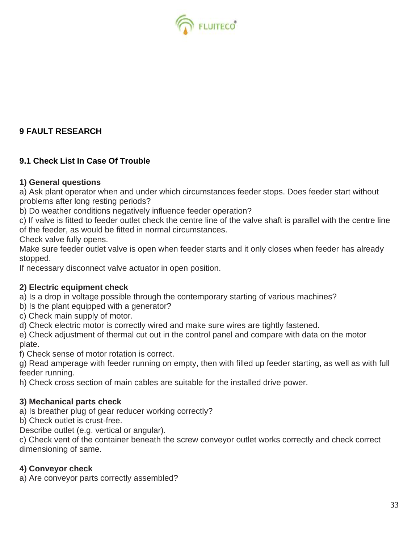

## **9 FAULT RESEARCH**

## **9.1 Check List In Case Of Trouble**

## **1) General questions**

a) Ask plant operator when and under which circumstances feeder stops. Does feeder start without problems after long resting periods?

b) Do weather conditions negatively influence feeder operation?

c) If valve is fitted to feeder outlet check the centre line of the valve shaft is parallel with the centre line of the feeder, as would be fitted in normal circumstances.

Check valve fully opens.

Make sure feeder outlet valve is open when feeder starts and it only closes when feeder has already stopped.

If necessary disconnect valve actuator in open position.

## **2) Electric equipment check**

a) Is a drop in voltage possible through the contemporary starting of various machines?

- b) Is the plant equipped with a generator?
- c) Check main supply of motor.

d) Check electric motor is correctly wired and make sure wires are tightly fastened.

e) Check adjustment of thermal cut out in the control panel and compare with data on the motor plate.

f) Check sense of motor rotation is correct.

g) Read amperage with feeder running on empty, then with filled up feeder starting, as well as with full feeder running.

h) Check cross section of main cables are suitable for the installed drive power.

## **3) Mechanical parts check**

a) Is breather plug of gear reducer working correctly?

b) Check outlet is crust-free.

Describe outlet (e.g. vertical or angular).

c) Check vent of the container beneath the screw conveyor outlet works correctly and check correct dimensioning of same.

## **4) Conveyor check**

a) Are conveyor parts correctly assembled?